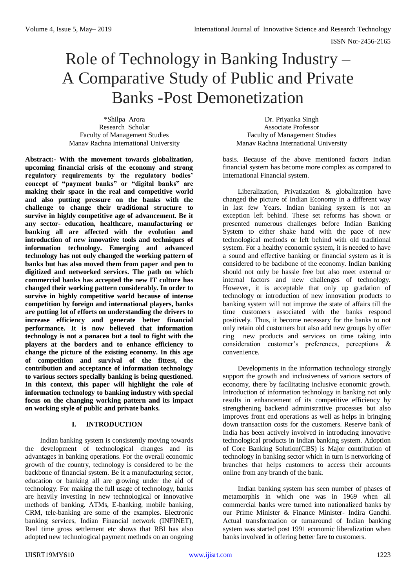# Role of Technology in Banking Industry – A Comparative Study of Public and Private Banks -Post Demonetization

\*Shilpa Arora Research Scholar Faculty of Management Studies Manav Rachna International University

**Abstract:- With the movement towards globalization, upcoming financial crisis of the economy and strong regulatory requirements by the regulatory bodies' concept of "payment banks" or "digital banks" are making their space in the real and competitive world and also putting pressure on the banks with the challenge to change their traditional structure to survive in highly competitive age of advancement. Be it any sector- education, healthcare, manufacturing or banking all are affected with the evolution and introduction of new innovative tools and techniques of information technology. Emerging and advanced technology has not only changed the working pattern of banks but has also moved them from paper and pen to digitized and networked services. The path on which commercial banks has accepted the new IT culture has changed their working pattern considerably. In order to survive in highly competitive world because of intense competition by foreign and international players, banks are putting lot of efforts on understanding the drivers to increase efficiency and generate better financial performance. It is now believed that information technology is not a panacea but a tool to fight with the players at the borders and to enhance efficiency to change the picture of the existing economy. In this age of competition and survival of the fittest, the contribution and acceptance of information technology to various sectors specially banking is being questioned. In this context, this paper will highlight the role of information technology to banking industry with special focus on the changing working pattern and its impact on working style of public and private banks.** 

# **I. INTRODUCTION**

Indian banking system is consistently moving towards the development of technological changes and its advantages in banking operations. For the overall economic growth of the country, technology is considered to be the backbone of financial system. Be it a manufacturing sector, education or banking all are growing under the aid of technology. For making the full usage of technology, banks are heavily investing in new technological or innovative methods of banking. ATMs, E-banking, mobile banking, CRM, tele-banking are some of the examples. Electronic banking services, Indian Financial network (INFINET), Real time gross settlement etc shows that RBI has also adopted new technological payment methods on an ongoing

Dr. Priyanka Singh Associate Professor Faculty of Management Studies Manav Rachna International University

basis. Because of the above mentioned factors Indian financial system has become more complex as compared to International Financial system.

Liberalization, Privatization & globalization have changed the picture of Indian Economy in a different way in last few Years. Indian banking system is not an exception left behind. These set reforms has shown or presented numerous challenges before Indian Banking System to either shake hand with the pace of new technological methods or left behind with old traditional system. For a healthy economic system, it is needed to have a sound and effective banking or financial system as it is considered to be backbone of the economy. Indian banking should not only be hassle free but also meet external or internal factors and new challenges of technology. However, it is acceptable that only up gradation of technology or introduction of new innovation products to banking system will not improve the state of affairs till the time customers associated with the banks respond positively. Thus, it become necessary for the banks to not only retain old customers but also add new groups by offer ring new products and services on time taking into consideration customer's preferences, perceptions & convenience.

Developments in the information technology strongly support the growth and inclusiveness of various sectors of economy, there by facilitating inclusive economic growth. Introduction of information technology in banking not only results in enhancement of its competitive efficiency by strengthening backend administrative processes but also improves front end operations as well as helps in bringing down transaction costs for the customers. Reserve bank of India has been actively involved in introducing innovative technological products in Indian banking system. Adoption of Core Banking Solution(CBS) is Major contribution of technology in banking sector which in turn is networking of branches that helps customers to access their accounts online from any branch of the bank.

Indian banking system has seen number of phases of metamorphis in which one was in 1969 when all commercial banks were turned into nationalized banks by our Prime Minister & Finance Minister- Indira Gandhi. Actual transformation or turnaround of Indian banking system was started post 1991 economic liberalization when banks involved in offering better fare to customers.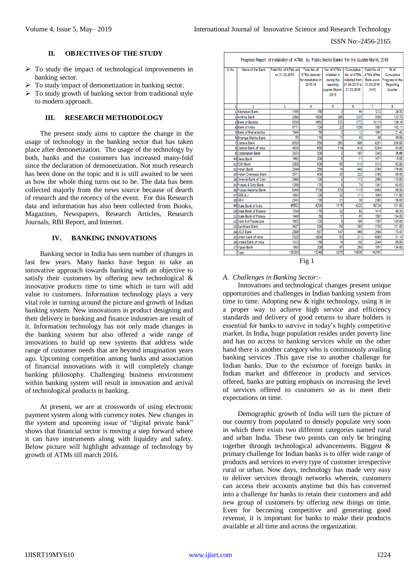#### ISSN No:-2456-2165

# **II. OBJECTIVES OF THE STUDY**

- $\triangleright$  To study the impact of technological improvements in banking sector.
- $\triangleright$  To study impact of demonetization in banking sector.
- $\triangleright$  To study growth of banking sector from traditional style to modern approach.

# **III. RESEARCH METHODOLOGY**

The present study aims to capture the change in the usage of technology in the banking sector that has taken place after demonetization. The usage of the technology by both, banks and the customers has increased many-fold since the declaration of demonetization. Not much research has been done on the topic and it is still awaited to be seen as how the whole thing turns out to be. The data has been collected majorly from the news source because of dearth of research and the recency of the event. For this Research data and information has also been collected from Books, Magazines, Newspapers, Research Articles, Research Journals, RBI Report, and Internet.

# **IV. BANKING INNOVATIONS**

Banking sector in India has seen number of changes in last few years. Many banks have begun to take an innovative approach towards banking with an objective to satisfy their customers by offering new technological & innovative products time to time which in turn will add value to customers. Information technology plays a very vital role in turning around the picture and growth of Indian banking system. New innovations in product designing and their delivery in banking and finance industries are result of it. Information technology has not only made changes in the banking system but also offered a wide range of innovations to build up new systems that address wide range of customer needs that are beyond imagination years ago. Upcoming competition among banks and association of financial innovations with it will completely change banking philosophy. Challenging business environment within banking system will result in innovation and arrival of technological products in banking.

At present, we are at crosswords of using electronic payment system along with currency notes. New changes in the system and upcoming issue of "digital private bank" shows that financial sector is moving a step forward where it can have instruments along with liquidity and safety. Below picture will highlight advantage of technology by growth of ATMs till march 2016.

| Progress Report of installation of ATMs by Public Sector Banks For the Quarter March, 2016 |                          |                                       |                                     |                             |                           |                             |                    |
|--------------------------------------------------------------------------------------------|--------------------------|---------------------------------------|-------------------------------------|-----------------------------|---------------------------|-----------------------------|--------------------|
| S.No.                                                                                      | Name of the Bank         | Total No. of ATMs as<br>on 31.03.2015 | Total No. of<br><b>ATMs planned</b> | No. of ATMs<br>installed in | Cumulative<br>No. of ATMs | Total No. of<br>ATMs of the | % of<br>Cumulative |
|                                                                                            |                          |                                       | for installation in                 | during the                  | installed from            | Bank as on                  | Progress in the    |
|                                                                                            |                          |                                       | 2015-16                             | reporting                   | 01.04.2015 to             | 31.03.2016                  | Reporting          |
|                                                                                            |                          |                                       |                                     | quarter March.              | 31.03.2016                | $(3+6)$                     | Quarter            |
|                                                                                            |                          |                                       |                                     | 2016                        |                           |                             |                    |
| 1                                                                                          | 2                        | 3                                     | 4                                   | 5                           | 6                         | 7                           | 8                  |
|                                                                                            | 1 Allahabad Bank         | 1168                                  | 150                                 | 3                           | 44                        | 1212                        | 29.33              |
|                                                                                            | 2 Andhra Bank            | 2399                                  | 1000                                | 295                         | 1237                      | 3636                        | 123.70             |
|                                                                                            | <b>3 Bank of Baroda</b>  | 8338                                  | 1662                                | 270                         | 1772                      | 10110                       | 106.19             |
|                                                                                            | 4 Bank of India          | 6771                                  | 729                                 | 20                          | 1036                      | 7807                        | 142.11             |
|                                                                                            | 5 Bank of Maharashtra    | 1849                                  | 56                                  | 2                           | 12                        | 1861                        | 21.43              |
|                                                                                            | 6 Bhartiya Mahila Bank   | 55                                    | 110                                 | 11                          | 43                        | 98                          | 39.09              |
|                                                                                            | 7 Canara Bank            | 8533                                  | 250                                 | 260                         | 895                       | 9251                        | 358.00             |
|                                                                                            | 8 Central Bank of India  | 4835                                  | 665                                 | 114                         | 419                       | 5254                        | 63.00              |
|                                                                                            | 9 Corporation Bank       | 2933                                  | 300                                 | Ō                           | 107                       | 3040                        | 35.66              |
|                                                                                            | 10 Dena Bank             | 1482                                  | 200                                 | 5                           | $-11$                     | 1471                        | $-5.50$            |
|                                                                                            | 11 IDBI Bank             | 3000                                  | 500                                 | 85                          | 310                       | 3310                        | 62.00              |
|                                                                                            | 12 Indian Bank           | 2344                                  | 250                                 | 14                          | 440                       | 2784                        | 176.00             |
|                                                                                            | 13 Indian Overseas Bank  | 3571                                  | 400                                 | 35                          | 222                       | 3793                        | 55.50              |
|                                                                                            | 14 Oriental Bank of Com  | 2488                                  | 100                                 | 9                           | 113                       | 2566                        | 113.00             |
|                                                                                            | 15 Punjab & Sind Bank    | 1268                                  | 170                                 | 8                           | 74                        | 1341                        | 43.53              |
|                                                                                            | 16 Punjab National Bank  | 8348                                  | 1700                                | 579                         | 1115                      | 9463                        | 65.59              |
|                                                                                            | $17$ SBB & J             | 1843                                  | 100                                 | 32                          | 111                       | 1954                        | 111.00             |
|                                                                                            | 18 SBH                   | 2342                                  | 100                                 | 21                          | 38                        | 2380                        | 38.00              |
|                                                                                            | 19 State Bank of India   | 45502                                 | 4200                                | 1115                        | 4222                      | 49724                       | 101.00             |
|                                                                                            | 20 State Bank of Mysore  | 1334                                  | 170                                 | 32                          | 82                        | 1416                        | 48.24              |
|                                                                                            | 21 State Bank of Patiala | 1440                                  | 50                                  | $\overline{17}$             | 67                        | 1507                        | 134.00             |
|                                                                                            | 22 State B of Travancore | 1602                                  | 100                                 | 8                           | 105                       | 1707                        | 105.00             |
|                                                                                            | 23 Syndicate Bank        | 3427                                  | 300                                 | 59                          | 303                       | 3730                        | 101.00             |
|                                                                                            | 24 UCO Bank              | 2096                                  | 637                                 | 147                         | 468                       | 2564                        | 73.47              |
|                                                                                            | 25 Union bank of India   | 7020                                  | 1000                                | 53                          | 311                       | 6883                        | 31.10              |
|                                                                                            | 26 United Bank of India  | 1912                                  | 150                                 | 14                          | 132                       | 2044                        | 88.00              |
|                                                                                            | 27 Vijaya Bank           | 1383                                  | 200                                 | 67                          | 268                       | 1651                        | 134.00             |
|                                                                                            | Total                    | 129283                                | 15249                               | 3275                        | 13935                     | 142557                      |                    |

Fig 1

## *A. Challenges in Banking Sector:-*

Innovations and technological changes present unique opportunities and challenges in Indian banking system from time to time. Adopting new & right technology, using it in a proper way to achieve high service and efficiency standards and delivery of good returns to share holders is essential for banks to survive in today's highly competitive market. In India, huge population resides under poverty line and has no access to banking services while on the other hand there is another category who is continuously availing banking services .This gave rise to another challenge for Indian banks. Due to the existence of foreign banks in Indian market and difference in products and services offered, banks are putting emphasis on increasing the level of services offered to customers so as to meet their expectations on time.

Demographic growth of India will turn the picture of our country from populated to densely populate very soon in which there exists two different categories named rural and urban India. These two points can only be bringing together through technological advancements. Biggest & primary challenge for Indian banks is to offer wide range of products and services to every type of customer irrespective rural or urban. Now days, technology has made very easy to deliver services through networks wherein, customers can access their accounts anytime but this has converted into a challenge for banks to retain their customers and add new group of customers by offering new things on time. Even for becoming competitive and generating good revenue, it is important for banks to make their products available at all time and across the organization.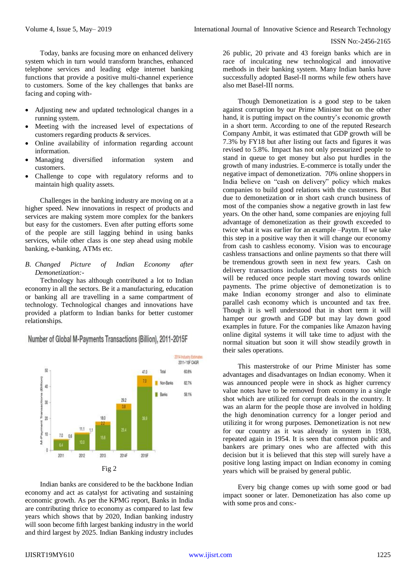Today, banks are focusing more on enhanced delivery system which in turn would transform branches, enhanced telephone services and leading edge internet banking functions that provide a positive multi-channel experience to customers. Some of the key challenges that banks are facing and coping with-

- Adjusting new and updated technological changes in a running system.
- Meeting with the increased level of expectations of customers regarding products & services.
- Online availability of information regarding account information.
- Managing diversified information system and customers.
- Challenge to cope with regulatory reforms and to maintain high quality assets.

Challenges in the banking industry are moving on at a higher speed. New innovations in respect of products and services are making system more complex for the bankers but easy for the customers. Even after putting efforts some of the people are still lagging behind in using banks services, while other class is one step ahead using mobile banking, e-banking, ATMs etc.

*B. Changed Picture of Indian Economy after Demonetization:-*

Technology has although contributed a lot to Indian economy in all the sectors. Be it a manufacturing, education or banking all are travelling in a same compartment of technology. Technological changes and innovations have provided a platform to Indian banks for better customer relationships.

Number of Global M-Payments Transactions (Billion), 2011-2015F



Indian banks are considered to be the backbone Indian economy and act as catalyst for activating and sustaining economic growth. As per the KPMG report, Banks in India are contributing thrice to economy as compared to last few years which shows that by 2020, Indian banking industry will soon become fifth largest banking industry in the world and third largest by 2025. Indian Banking industry includes

26 public, 20 private and 43 foreign banks which are in race of inculcating new technological and innovative methods in their banking system. Many Indian banks have successfully adopted Basel-II norms while few others have also met Basel-III norms.

Though Demonetization is a good step to be taken against corruption by our Prime Minister but on the other hand, it is putting impact on the country's economic growth in a short term. According to one of the reputed Research Company Ambit, it was estimated that GDP growth will be 7.3% by FY18 but after listing out facts and figures it was revised to 5.8%. Impact has not only pressurized people to stand in queue to get money but also put hurdles in the growth of many industries. E-commerce is totally under the negative impact of demonetization. 70% online shoppers in India believe on "cash on delivery" policy which makes companies to build good relations with the customers. But due to demonetization or in short cash crunch business of most of the companies show a negative growth in last few years. On the other hand, some companies are enjoying full advantage of demonetization as their growth exceeded to twice what it was earlier for an example –Paytm. If we take this step in a positive way then it will change our economy from cash to cashless economy. Vision was to encourage cashless transactions and online payments so that there will be tremendous growth seen in next few years. Cash on delivery transactions includes overhead costs too which will be reduced once people start moving towards online payments. The prime objective of demonetization is to make Indian economy stronger and also to eliminate parallel cash economy which is uncounted and tax free. Though it is well understood that in short term it will hamper our growth and GDP but may lay down good examples in future. For the companies like Amazon having online digital systems it will take time to adjust with the normal situation but soon it will show steadily growth in their sales operations.

This masterstroke of our Prime Minister has some advantages and disadvantages on Indian economy. When it was announced people were in shock as higher currency value notes have to be removed from economy in a single shot which are utilized for corrupt deals in the country. It was an alarm for the people those are involved in holding the high denomination currency for a longer period and utilizing it for wrong purposes. Demonetization is not new for our country as it was already in system in 1938, repeated again in 1954. It is seen that common public and bankers are primary ones who are affected with this decision but it is believed that this step will surely have a positive long lasting impact on Indian economy in coming years which will be praised by general public.

Every big change comes up with some good or bad impact sooner or later. Demonetization has also come up with some pros and cons:-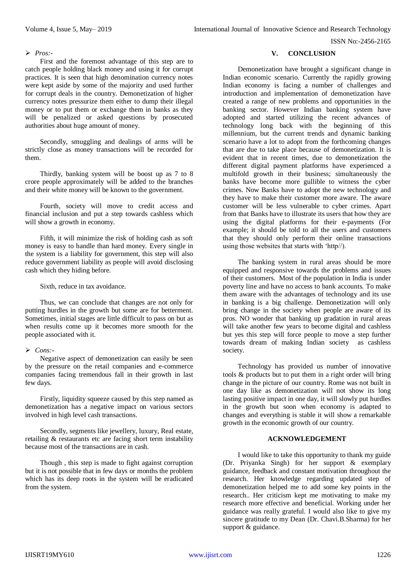ISSN No:-2456-2165

#### *Pros:-*

First and the foremost advantage of this step are to catch people holding black money and using it for corrupt practices. It is seen that high denomination currency notes were kept aside by some of the majority and used further for corrupt deals in the country. Demonetization of higher currency notes pressurize them either to dump their illegal money or to put them or exchange them in banks as they will be penalized or asked questions by prosecuted authorities about huge amount of money.

Secondly, smuggling and dealings of arms will be strictly close as money transactions will be recorded for them.

Thirdly, banking system will be boost up as 7 to 8 crore people approximately will be added to the branches and their white money will be known to the government.

Fourth, society will move to credit access and financial inclusion and put a step towards cashless which will show a growth in economy.

Fifth, it will minimize the risk of holding cash as soft money is easy to handle than hard money. Every single in the system is a liability for government, this step will also reduce government liability as people will avoid disclosing cash which they hiding before.

Sixth, reduce in tax avoidance.

Thus, we can conclude that changes are not only for putting hurdles in the growth but some are for betterment. Sometimes, initial stages are little difficult to pass on but as when results come up it becomes more smooth for the people associated with it.

### *Cons:-*

Negative aspect of demonetization can easily be seen by the pressure on the retail companies and e-commerce companies facing tremendous fall in their growth in last few days.

Firstly, liquidity squeeze caused by this step named as demonetization has a negative impact on various sectors involved in high level cash transactions.

Secondly, segments like jewellery, luxury, Real estate, retailing & restaurants etc are facing short term instability because most of the transactions are in cash.

Though , this step is made to fight against corruption but it is not possible that in few days or months the problem which has its deep roots in the system will be eradicated from the system.

# **V. CONCLUSION**

Demonetization have brought a significant change in Indian economic scenario. Currently the rapidly growing Indian economy is facing a number of challenges and introduction and implementation of demonetization have created a range of new problems and opportunities in the banking sector. However Indian banking system have adopted and started utilizing the recent advances of technology long back with the beginning of this millennium, but the current trends and dynamic banking scenario have a lot to adopt from the forthcoming changes that are due to take place because of demonetization. It is evident that in recent times, due to demonetization the different digital payment platforms have experienced a multifold growth in their business; simultaneously the banks have become more gullible to witness the cyber crimes. Now Banks have to adopt the new technology and they have to make their customer more aware. The aware customer will be less vulnerable to cyber crimes. Apart from that Banks have to illustrate its users that how they are using the digital platforms for their e-payments (For example; it should be told to all the users and customers that they should only perform their online transactions using those websites that starts with 'http//).

The banking system in rural areas should be more equipped and responsive towards the problems and issues of their customers. Most of the population in India is under poverty line and have no access to bank accounts. To make them aware with the advantages of technology and its use in banking is a big challenge. Demonetization will only bring change in the society when people are aware of its pros. NO wonder that banking up gradation in rural areas will take another few years to become digital and cashless but yes this step will force people to move a step further towards dream of making Indian society as cashless society.

Technology has provided us number of innovative tools & products but to put them in a right order will bring change in the picture of our country. Rome was not built in one day like as demonetization will not show its long lasting positive impact in one day, it will slowly put hurdles in the growth but soon when economy is adapted to changes and everything is stable it will show a remarkable growth in the economic growth of our country.

## **ACKNOWLEDGEMENT**

I would like to take this opportunity to thank my guide (Dr. Priyanka Singh) for her support & exemplary guidance, feedback and constant motivation throughout the research. Her knowledge regarding updated step of demonetization helped me to add some key points in the research.. Her criticism kept me motivating to make my research more effective and beneficial. Working under her guidance was really grateful. I would also like to give my sincere gratitude to my Dean (Dr. Chavi.B.Sharma) for her support & guidance.